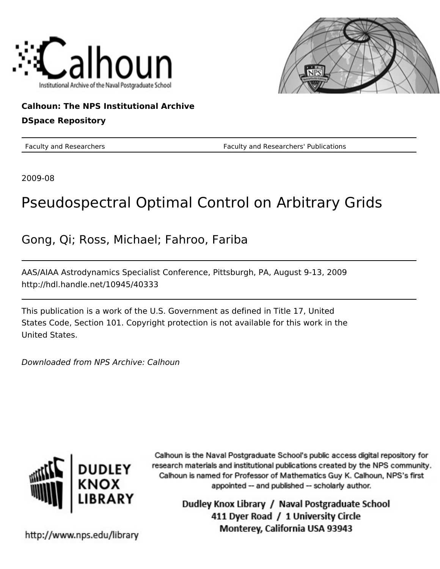



## **Calhoun: The NPS Institutional Archive DSpace Repository**

Faculty and Researchers Faculty and Researchers' Publications

2009-08

# Pseudospectral Optimal Control on Arbitrary Grids

Gong, Qi; Ross, Michael; Fahroo, Fariba

AAS/AIAA Astrodynamics Specialist Conference, Pittsburgh, PA, August 9-13, 2009 http://hdl.handle.net/10945/40333

This publication is a work of the U.S. Government as defined in Title 17, United States Code, Section 101. Copyright protection is not available for this work in the United States.

Downloaded from NPS Archive: Calhoun



Calhoun is the Naval Postgraduate School's public access digital repository for research materials and institutional publications created by the NPS community. Calhoun is named for Professor of Mathematics Guy K. Calhoun, NPS's first appointed -- and published -- scholarly author.

> Dudley Knox Library / Naval Postgraduate School 411 Dyer Road / 1 University Circle Monterey, California USA 93943

http://www.nps.edu/library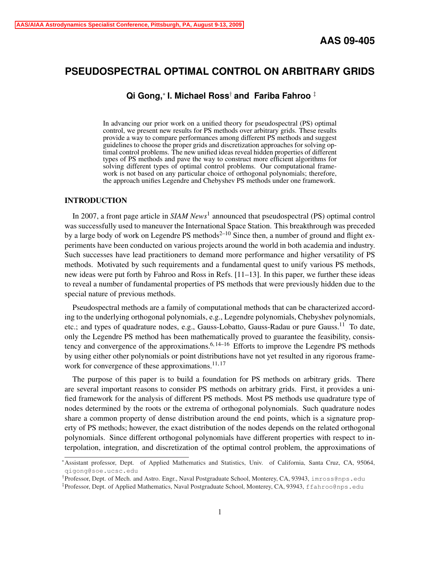## **PSEUDOSPECTRAL OPTIMAL CONTROL ON ARBITRARY GRIDS**

**Qi Gong,**<sup>∗</sup> **I. Michael Ross**† **and Fariba Fahroo** ‡

In advancing our prior work on a unified theory for pseudospectral (PS) optimal control, we present new results for PS methods over arbitrary grids. These results provide a way to compare performances among different PS methods and suggest guidelines to choose the proper grids and discretization approaches for solving optimal control problems. The new unified ideas reveal hidden properties of different types of PS methods and pave the way to construct more efficient algorithms for solving different types of optimal control problems. Our computational framework is not based on any particular choice of orthogonal polynomials; therefore, the approach unifies Legendre and Chebyshev PS methods under one framework.

## INTRODUCTION

In 2007, a front page article in *SIAM News*<sup>1</sup> announced that pseudospectral (PS) optimal control was successfully used to maneuver the International Space Station. This breakthrough was preceded by a large body of work on Legendre PS methods<sup>2-10</sup> Since then, a number of ground and flight experiments have been conducted on various projects around the world in both academia and industry. Such successes have lead practitioners to demand more performance and higher versatility of PS methods. Motivated by such requirements and a fundamental quest to unify various PS methods, new ideas were put forth by Fahroo and Ross in Refs. [11–13]. In this paper, we further these ideas to reveal a number of fundamental properties of PS methods that were previously hidden due to the special nature of previous methods.

Pseudospectral methods are a family of computational methods that can be characterized according to the underlying orthogonal polynomials, e.g., Legendre polynomials, Chebyshev polynomials, etc.; and types of quadrature nodes, e.g., Gauss-Lobatto, Gauss-Radau or pure Gauss.<sup>11</sup> To date, only the Legendre PS method has been mathematically proved to guarantee the feasibility, consistency and convergence of the approximations.<sup>6, 14–16</sup> Efforts to improve the Legendre PS methods by using either other polynomials or point distributions have not yet resulted in any rigorous framework for convergence of these approximations. $11, 17$ 

The purpose of this paper is to build a foundation for PS methods on arbitrary grids. There are several important reasons to consider PS methods on arbitrary grids. First, it provides a unified framework for the analysis of different PS methods. Most PS methods use quadrature type of nodes determined by the roots or the extrema of orthogonal polynomials. Such quadrature nodes share a common property of dense distribution around the end points, which is a signature property of PS methods; however, the exact distribution of the nodes depends on the related orthogonal polynomials. Since different orthogonal polynomials have different properties with respect to interpolation, integration, and discretization of the optimal control problem, the approximations of

<sup>∗</sup>Assistant professor, Dept. of Applied Mathematics and Statistics, Univ. of California, Santa Cruz, CA, 95064, qigong@soe.ucsc.edu

<sup>&</sup>lt;sup>†</sup> Professor, Dept. of Mech. and Astro. Engr., Naval Postgraduate School, Monterey, CA, 93943, imross@nps.edu

<sup>‡</sup> Professor, Dept. of Applied Mathematics, Naval Postgraduate School, Monterey, CA, 93943, ffahroo@nps.edu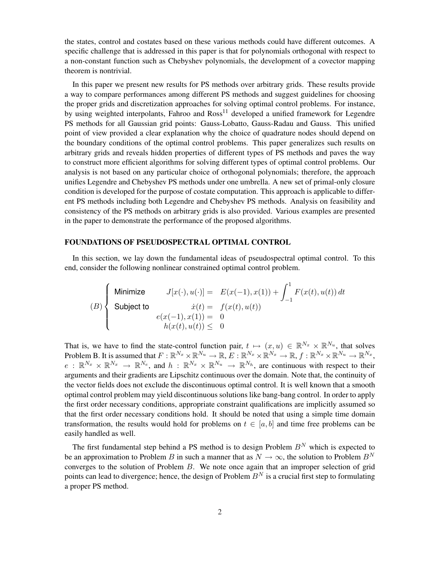the states, control and costates based on these various methods could have different outcomes. A specific challenge that is addressed in this paper is that for polynomials orthogonal with respect to a non-constant function such as Chebyshev polynomials, the development of a covector mapping theorem is nontrivial.

In this paper we present new results for PS methods over arbitrary grids. These results provide a way to compare performances among different PS methods and suggest guidelines for choosing the proper grids and discretization approaches for solving optimal control problems. For instance, by using weighted interpolants, Fahroo and  $Ross<sup>11</sup>$  developed a unified framework for Legendre PS methods for all Gaussian grid points: Gauss-Lobatto, Gauss-Radau and Gauss. This unified point of view provided a clear explanation why the choice of quadrature nodes should depend on the boundary conditions of the optimal control problems. This paper generalizes such results on arbitrary grids and reveals hidden properties of different types of PS methods and paves the way to construct more efficient algorithms for solving different types of optimal control problems. Our analysis is not based on any particular choice of orthogonal polynomials; therefore, the approach unifies Legendre and Chebyshev PS methods under one umbrella. A new set of primal-only closure condition is developed for the purpose of costate computation. This approach is applicable to different PS methods including both Legendre and Chebyshev PS methods. Analysis on feasibility and consistency of the PS methods on arbitrary grids is also provided. Various examples are presented in the paper to demonstrate the performance of the proposed algorithms.

## FOUNDATIONS OF PSEUDOSPECTRAL OPTIMAL CONTROL

In this section, we lay down the fundamental ideas of pseudospectral optimal control. To this end, consider the following nonlinear constrained optimal control problem.

$$
(B) \left\{ \begin{array}{ll} \text{Minimize} & J[x(\cdot), u(\cdot)] = & E(x(-1), x(1)) + \int_{-1}^{1} F(x(t), u(t)) \, dt \\ \text{Subject to} & \dot{x}(t) = & f(x(t), u(t)) \\ & e(x(-1), x(1)) = & 0 \\ & h(x(t), u(t)) \leq & 0 \end{array} \right.
$$

That is, we have to find the state-control function pair,  $t \mapsto (x, u) \in \mathbb{R}^{N_x} \times \mathbb{R}^{N_u}$ , that solves Problem B. It is assumed that  $F: \mathbb{R}^{N_x} \times \mathbb{R}^{N_u} \to \mathbb{R}, E: \mathbb{R}^{N_x} \times \mathbb{R}^{N_x} \to \mathbb{R}, f: \mathbb{R}^{N_x} \times \mathbb{R}^{N_u} \to \mathbb{R}^{N_x}$ ,  $e: \mathbb{R}^{N_x} \times \mathbb{R}^{N_x} \to \mathbb{R}^{N_e}$ , and  $h: \mathbb{R}^{N_x} \times \mathbb{R}^{N_u} \to \mathbb{R}^{N_h}$ , are continuous with respect to their arguments and their gradients are Lipschitz continuous over the domain. Note that, the continuity of the vector fields does not exclude the discontinuous optimal control. It is well known that a smooth optimal control problem may yield discontinuous solutions like bang-bang control. In order to apply the first order necessary conditions, appropriate constraint qualifications are implicitly assumed so that the first order necessary conditions hold. It should be noted that using a simple time domain transformation, the results would hold for problems on  $t \in [a, b]$  and time free problems can be easily handled as well.

The first fundamental step behind a PS method is to design Problem  $B<sup>N</sup>$  which is expected to be an approximation to Problem B in such a manner that as  $N \to \infty$ , the solution to Problem  $B^N$ converges to the solution of Problem  $B$ . We note once again that an improper selection of grid points can lead to divergence; hence, the design of Problem  $B<sup>N</sup>$  is a crucial first step to formulating a proper PS method.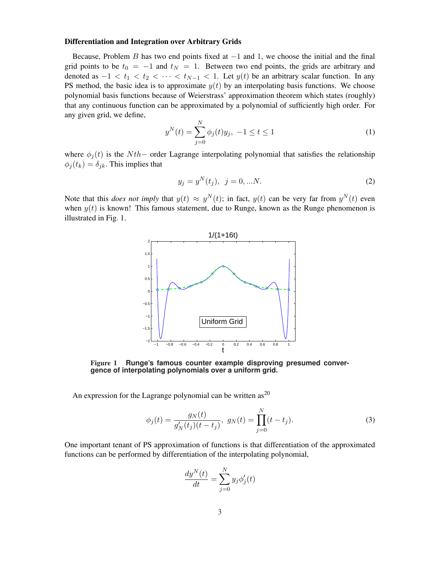## Differentiation and Integration over Arbitrary Grids

Because, Problem B has two end points fixed at  $-1$  and 1, we choose the initial and the final grid points to be  $t_0 = -1$  and  $t_N = 1$ . Between two end points, the grids are arbitrary and denoted as  $-1 < t_1 < t_2 < \cdots < t_{N-1} < 1$ . Let  $y(t)$  be an arbitrary scalar function. In any PS method, the basic idea is to approximate  $y(t)$  by an interpolating basis functions. We choose polynomial basis functions because of Weierstrass' approximation theorem which states (roughly) that any continuous function can be approximated by a polynomial of sufficiently high order. For any given grid, we define,

$$
y^{N}(t) = \sum_{j=0}^{N} \phi_{j}(t)y_{j}, \ -1 \leq t \leq 1
$$
 (1)

where  $\phi_i(t)$  is the Nth– order Lagrange interpolating polynomial that satisfies the relationship  $\phi_i(t_k) = \delta_{ik}$ . This implies that

$$
y_j = y^N(t_j), \ \ j = 0, \dots N. \tag{2}
$$

Note that this *does not imply* that  $y(t) \approx y^{N}(t)$ ; in fact,  $y(t)$  can be very far from  $y^{N}(t)$  even when  $y(t)$  is known! This famous statement, due to Runge, known as the Runge phenomenon is illustrated in Fig. 1.



Figure 1 **Runge's famous counter example disproving presumed convergence of interpolating polynomials over a uniform grid.**

An expression for the Lagrange polynomial can be written  $as^{20}$ 

$$
\phi_j(t) = \frac{g_N(t)}{g'_N(t_j)(t - t_j)}, \ g_N(t) = \prod_{j=0}^N (t - t_j).
$$
\n(3)

One important tenant of PS approximation of functions is that differentiation of the approximated functions can be performed by differentiation of the interpolating polynomial,

$$
\frac{dy^N(t)}{dt} = \sum_{j=0}^N y_j \phi_j'(t)
$$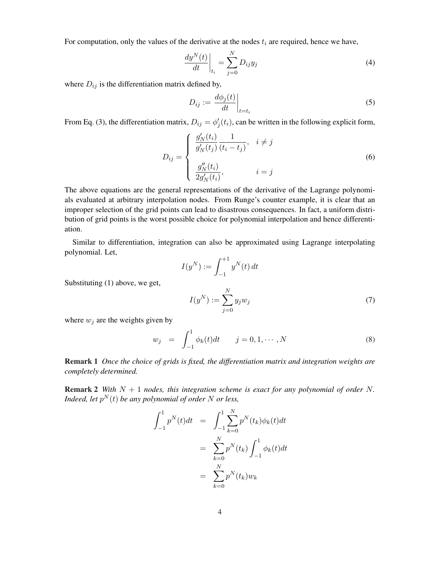For computation, only the values of the derivative at the nodes  $t_i$  are required, hence we have,

$$
\left. \frac{dy^N(t)}{dt} \right|_{t_i} = \sum_{j=0}^N D_{ij} y_j \tag{4}
$$

where  $D_{ij}$  is the differentiation matrix defined by,

$$
D_{ij} := \frac{d\phi_j(t)}{dt}\bigg|_{t=t_i}
$$
 (5)

From Eq. (3), the differentiation matrix,  $D_{ij} = \phi'_j(t_i)$ , can be written in the following explicit form,

$$
D_{ij} = \begin{cases} \frac{g'_N(t_i)}{g'_N(t_j)} \frac{1}{(t_i - t_j)}, & i \neq j \\ \frac{g''_N(t_i)}{2g'_N(t_i)}, & i = j \end{cases}
$$
 (6)

The above equations are the general representations of the derivative of the Lagrange polynomials evaluated at arbitrary interpolation nodes. From Runge's counter example, it is clear that an improper selection of the grid points can lead to disastrous consequences. In fact, a uniform distribution of grid points is the worst possible choice for polynomial interpolation and hence differentiation.

Similar to differentiation, integration can also be approximated using Lagrange interpolating polynomial. Let,

$$
I(y^N) := \int_{-1}^{+1} y^N(t) \, dt
$$

Substituting (1) above, we get,

$$
I(y^N) := \sum_{j=0}^N y_j w_j \tag{7}
$$

where  $w_i$  are the weights given by

$$
w_j = \int_{-1}^{1} \phi_k(t) dt \qquad j = 0, 1, \cdots, N
$$
 (8)

Remark 1 *Once the choice of grids is fixed, the differentiation matrix and integration weights are completely determined.*

**Remark 2** *With*  $N + 1$  *nodes, this integration scheme is exact for any polynomial of order* N. *Indeed, let*  $p^N(t)$  *be any polynomial of order* N *or less,* 

$$
\int_{-1}^{1} p^{N}(t)dt = \int_{-1}^{1} \sum_{k=0}^{N} p^{N}(t_{k})\phi_{k}(t)dt
$$

$$
= \sum_{k=0}^{N} p^{N}(t_{k}) \int_{-1}^{1} \phi_{k}(t)dt
$$

$$
= \sum_{k=0}^{N} p^{N}(t_{k})w_{k}
$$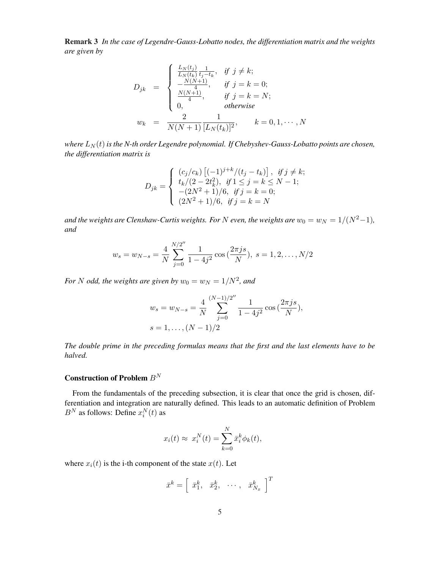Remark 3 *In the case of Legendre-Gauss-Lobatto nodes, the differentiation matrix and the weights are given by*

$$
D_{jk} = \begin{cases} \frac{L_N(t_j)}{L_N(t_k)} \frac{1}{t_j - t_k}, & \text{if } j \neq k; \\ -\frac{N(N+1)}{4}, & \text{if } j = k = 0; \\ \frac{N(N+1)}{4}, & \text{if } j = k = N; \\ 0, & \text{otherwise} \end{cases}
$$
  

$$
w_k = \frac{2}{N(N+1)} \frac{1}{[L_N(t_k)]^2}, \qquad k = 0, 1, \dots, N
$$

*where*  $L_N(t)$  *is the N-th order Legendre polynomial. If Chebyshev-Gauss-Lobatto points are chosen, the differentiation matrix is*

$$
D_{jk} = \begin{cases} (c_j/c_k) \left[ (-1)^{j+k} / (t_j - t_k) \right], & \text{if } j \neq k; \\ t_k/(2 - 2t_k^2), & \text{if } 1 \leq j = k \leq N - 1; \\ -(2N^2 + 1)/6, & \text{if } j = k = 0; \\ (2N^2 + 1)/6, & \text{if } j = k = N \end{cases}
$$

*and the weights are Clenshaw-Curtis weights. For* N *even, the weights are*  $w_0 = w_N = 1/(N^2-1)$ , *and*

$$
w_s = w_{N-s} = \frac{4}{N} \sum_{j=0}^{N/2''} \frac{1}{1 - 4j^2} \cos(\frac{2\pi js}{N}), \ s = 1, 2, \dots, N/2
$$

For *N* odd, the weights are given by  $w_0 = w_N = 1/N^2$ , and

$$
w_s = w_{N-s} = \frac{4}{N} \sum_{j=0}^{(N-1)/2''} \frac{1}{1 - 4j^2} \cos\left(\frac{2\pi js}{N}\right),
$$
  

$$
s = 1, \dots, (N-1)/2
$$

*The double prime in the preceding formulas means that the first and the last elements have to be halved.*

## Construction of Problem  ${\cal B}^N$

From the fundamentals of the preceding subsection, it is clear that once the grid is chosen, differentiation and integration are naturally defined. This leads to an automatic definition of Problem  $B^N$  as follows: Define  $x_i^N(t)$  as

$$
x_i(t) \approx x_i^N(t) = \sum_{k=0}^N \bar{x}_i^k \phi_k(t),
$$

where  $x_i(t)$  is the i-th component of the state  $x(t)$ . Let

$$
\bar{x}^k = \left[ \begin{array}{ccc} \bar{x}_1^k, & \bar{x}_2^k, & \cdots, & \bar{x}_{N_x}^k \end{array} \right]^T
$$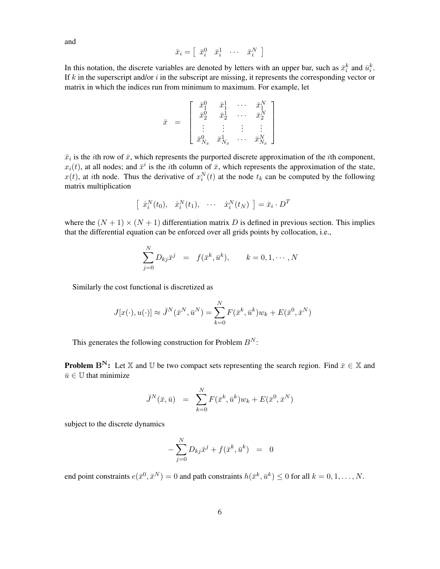$$
\bar{x}_i = \left[ \begin{array}{ccc} \bar{x}_i^0 & \bar{x}_i^1 & \cdots & \bar{x}_i^N \end{array} \right]
$$

In this notation, the discrete variables are denoted by letters with an upper bar, such as  $\bar{x}_i^k$  and  $\bar{u}_i^k$ . If  $k$  in the superscript and/or  $i$  in the subscript are missing, it represents the corresponding vector or matrix in which the indices run from minimum to maximum. For example, let

$$
\bar{x} \hspace{2mm} = \hspace{2mm} \left[ \begin{array}{cccc} \bar{x}_1^0 & \bar{x}_1^1 & \cdots & \bar{x}_1^N \\ \bar{x}_2^0 & \bar{x}_2^1 & \cdots & \bar{x}_2^N \\ \vdots & \vdots & \vdots & \vdots \\ \bar{x}_{N_x}^0 & \bar{x}_{N_x}^1 & \cdots & \bar{x}_{N_x}^N \end{array} \right]
$$

 $\bar{x}_i$  is the *i*th row of  $\bar{x}$ , which represents the purported discrete approximation of the *i*th component,  $x_i(t)$ , at all nodes; and  $\bar{x}^i$  is the *i*th column of  $\bar{x}$ , which represents the approximation of the state,  $x(t)$ , at ith node. Thus the derivative of  $x_i^N(t)$  at the node  $t_k$  can be computed by the following matrix multiplication

$$
\left[\begin{array}{cccc} \dot{x}_i^N(t_0), & \dot{x}_i^N(t_1), & \cdots & \dot{x}_i^N(t_N) \end{array}\right] = \bar{x}_i \cdot D^T
$$

where the  $(N + 1) \times (N + 1)$  differentiation matrix D is defined in previous section. This implies that the differential equation can be enforced over all grids points by collocation, i.e.,

$$
\sum_{j=0}^{N} D_{kj} \bar{x}^j = f(\bar{x}^k, \bar{u}^k), \qquad k = 0, 1, \cdots, N
$$

Similarly the cost functional is discretized as

$$
J[x(\cdot), u(\cdot)] \approx \bar{J}^N(\bar{x}^N, \bar{u}^N) = \sum_{k=0}^N F(\bar{x}^k, \bar{u}^k) w_k + E(\bar{x}^0, \bar{x}^N)
$$

This generates the following construction for Problem  $B^N$ :

**Problem B<sup>N</sup>:** Let X and U be two compact sets representing the search region. Find  $\bar{x} \in X$  and  $\bar{u} \in \mathbb{U}$  that minimize

$$
\bar{J}^N(\bar{x}, \bar{u}) = \sum_{k=0}^N F(\bar{x}^k, \bar{u}^k) w_k + E(\bar{x}^0, \bar{x}^N)
$$

subject to the discrete dynamics

$$
-\sum_{j=0}^{N} D_{kj}\bar{x}^j + f(\bar{x}^k, \bar{u}^k) = 0
$$

end point constraints  $e(\bar{x}^0, \bar{x}^N) = 0$  and path constraints  $h(\bar{x}^k, \bar{u}^k) \leq 0$  for all  $k = 0, 1, ..., N$ .

and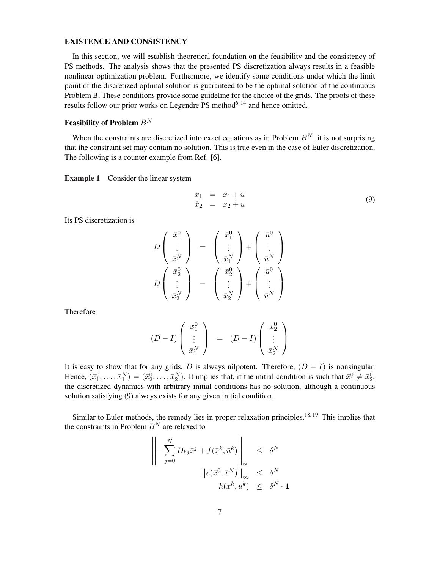#### EXISTENCE AND CONSISTENCY

In this section, we will establish theoretical foundation on the feasibility and the consistency of PS methods. The analysis shows that the presented PS discretization always results in a feasible nonlinear optimization problem. Furthermore, we identify some conditions under which the limit point of the discretized optimal solution is guaranteed to be the optimal solution of the continuous Problem B. These conditions provide some guideline for the choice of the grids. The proofs of these results follow our prior works on Legendre PS method $6,14$  and hence omitted.

## Feasibility of Problem  $B^N$

When the constraints are discretized into exact equations as in Problem  $B<sup>N</sup>$ , it is not surprising that the constraint set may contain no solution. This is true even in the case of Euler discretization. The following is a counter example from Ref. [6].

Example 1 Consider the linear system

$$
\begin{array}{rcl}\n\dot{x}_1 & = & x_1 + u \\
\dot{x}_2 & = & x_2 + u\n\end{array} \n\tag{9}
$$

Its PS discretization is

$$
D\begin{pmatrix} \bar{x}_1^0 \\ \vdots \\ \bar{x}_1^N \end{pmatrix} = \begin{pmatrix} \bar{x}_1^0 \\ \vdots \\ \bar{x}_1^N \end{pmatrix} + \begin{pmatrix} \bar{u}^0 \\ \vdots \\ \bar{u}^N \end{pmatrix}
$$

$$
D\begin{pmatrix} \bar{x}_2^0 \\ \vdots \\ \bar{x}_2^N \end{pmatrix} = \begin{pmatrix} \bar{x}_2^0 \\ \vdots \\ \bar{x}_2^N \end{pmatrix} + \begin{pmatrix} \bar{u}^0 \\ \vdots \\ \bar{u}^N \end{pmatrix}
$$

Therefore

$$
(D-I)\left(\begin{array}{c}\bar{x}_1^0\\ \vdots\\ \bar{x}_1^N\end{array}\right) \quad = \quad (D-I)\left(\begin{array}{c}\bar{x}_2^0\\ \vdots\\ \bar{x}_2^N\end{array}\right)
$$

It is easy to show that for any grids, D is always nilpotent. Therefore,  $(D - I)$  is nonsingular. Hence,  $(\bar{x}_1^0, \ldots, \bar{x}_1^N) = (\bar{x}_2^0, \ldots, \bar{x}_2^N)$ . It implies that, if the initial condition is such that  $\bar{x}_1^0 \neq \bar{x}_2^0$ , the discretized dynamics with arbitrary initial conditions has no solution, although a continuous solution satisfying (9) always exists for any given initial condition.

Similar to Euler methods, the remedy lies in proper relaxation principles.<sup>18, 19</sup> This implies that the constraints in Problem  $B<sup>N</sup>$  are relaxed to

$$
\left\| -\sum_{j=0}^{N} D_{kj} \bar{x}^j + f(\bar{x}^k, \bar{u}^k) \right\|_{\infty} \leq \delta^N
$$

$$
\left\| e(\bar{x}^0, \bar{x}^N) \right\|_{\infty} \leq \delta^N
$$

$$
h(\bar{x}^k, \bar{u}^k) \leq \delta^N \cdot \mathbf{1}
$$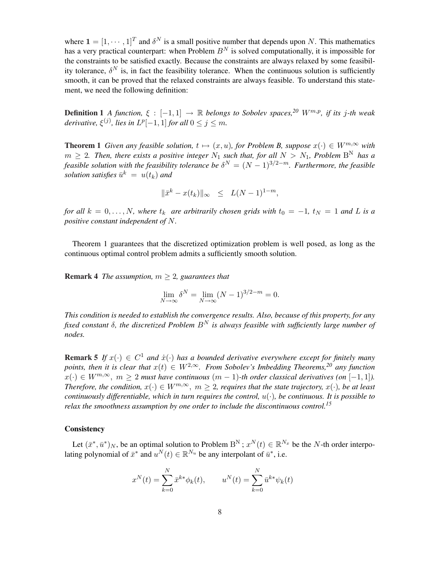where  $\mathbf{1} = [1, \dots, 1]^T$  and  $\delta^N$  is a small positive number that depends upon N. This mathematics has a very practical counterpart: when Problem  $B<sup>N</sup>$  is solved computationally, it is impossible for the constraints to be satisfied exactly. Because the constraints are always relaxed by some feasibility tolerance,  $\delta^N$  is, in fact the feasibility tolerance. When the continuous solution is sufficiently smooth, it can be proved that the relaxed constraints are always feasible. To understand this statement, we need the following definition:

Definition 1 *A function,*  $\xi$  : [−1, 1] → R *belongs to Sobolev spaces,*<sup>20</sup> W<sup>m,p</sup>, *if its* j-th weak derivative,  $\xi^{(j)}$ , lies in  $L^p[-1,1]$  for all  $0 \le j \le m$ .

**Theorem 1** *Given any feasible solution,*  $t \mapsto (x, u)$ *, for Problem B, suppose*  $x(\cdot) \in W^{m, \infty}$  *with*  $m \geq 2$ . Then, there exists a positive integer  $N_1$  such that, for all  $N > N_1$ , Problem  $B<sup>N</sup>$  has a *feasible solution with the feasibility tolerance be*  $\delta^{N} = (N-1)^{3/2-m}$ . Furthermore, the feasible  $solution$  satisfies  $\bar{u}^k = u(t_k)$  and

$$
\|\bar{x}^k - x(t_k)\|_{\infty} \le L(N-1)^{1-m},
$$

*for all*  $k = 0, \ldots, N$ , where  $t_k$  *are arbitrarily chosen grids with*  $t_0 = -1$ ,  $t_N = 1$  *and* L *is a positive constant independent of* N*.*

Theorem 1 guarantees that the discretized optimization problem is well posed, as long as the continuous optimal control problem admits a sufficiently smooth solution.

**Remark 4** *The assumption,*  $m \geq 2$ *, guarantees that* 

$$
\lim_{N \to \infty} \delta^N = \lim_{N \to \infty} (N - 1)^{3/2 - m} = 0.
$$

*This condition is needed to establish the convergence results. Also, because of this property, for any fixed constant* δ*, the discretized Problem* B<sup>N</sup> *is always feasible with sufficiently large number of nodes.*

**Remark 5** If  $x(\cdot) \in C^1$  and  $\dot{x}(\cdot)$  has a bounded derivative everywhere except for finitely many *points, then it is clear that*  $x(t) \in W^{2,\infty}$ . From Sobolev's Imbedding Theorems,<sup>20</sup> any function  $x(\cdot) \in W^{m,\infty}$ ,  $m > 2$  *must have continuous*  $(m-1)$ -th order classical derivatives (on  $[-1,1]$ ). *Therefore, the condition,*  $x(\cdot) \in W^{m,\infty}$ ,  $m \geq 2$ , requires that the state trajectory,  $x(\cdot)$ , be at least *continuously differentiable, which in turn requires the control,* u(·)*, be continuous. It is possible to relax the smoothness assumption by one order to include the discontinuous control.<sup>15</sup>*

## **Consistency**

Let  $(\bar{x}^*, \bar{u}^*)_N$ , be an optimal solution to Problem  $B^N$ ;  $x^N(t) \in \mathbb{R}^{N_x}$  be the N-th order interpolating polynomial of  $\bar{x}^*$  and  $u^N(t) \in \mathbb{R}^{N_u}$  be any interpolant of  $\bar{u}^*$ , i.e.

$$
x^{N}(t) = \sum_{k=0}^{N} \bar{x}^{k*} \phi_k(t), \qquad u^{N}(t) = \sum_{k=0}^{N} \bar{u}^{k*} \psi_k(t)
$$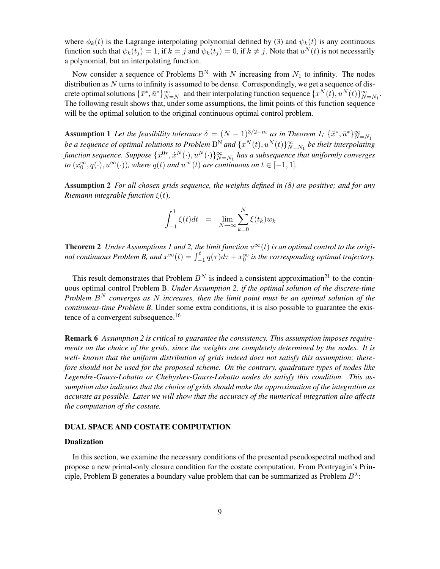where  $\phi_k(t)$  is the Lagrange interpolating polynomial defined by (3) and  $\psi_k(t)$  is any continuous function such that  $\psi_k(t_j) = 1$ , if  $k = j$  and  $\psi_k(t_j) = 0$ , if  $k \neq j$ . Note that  $u^N(t)$  is not necessarily a polynomial, but an interpolating function.

Now consider a sequence of Problems  $B^N$  with N increasing from  $N_1$  to infinity. The nodes distribution as  $N$  turns to infinity is assumed to be dense. Correspondingly, we get a sequence of discrete optimal solutions  $\{\bar{x}^*, \bar{u}^*\}_{N=N_1}^{\infty}$  and their interpolating function sequence  $\{x^N(t), u^N(t)\}_{N=N_1}^{\infty}$ . The following result shows that, under some assumptions, the limit points of this function sequence will be the optimal solution to the original continuous optimal control problem.

Assumption 1 Let the feasibility tolerance  $\delta = (N-1)^{3/2-m}$  as in Theorem 1;  $\{\bar{x}^*, \bar{u}^*\}_{N=N_1}^{\infty}$ *be a sequence of optimal solutions to Problem*  $B^N$  *and*  $\{x^N(t), u^N(t)\}_{N=N_1}^\infty$  *be their interpolating* function sequence. Suppose  $\{\bar{x}^{0*}, \dot{x}^N(\cdot), u^N(\cdot)\}_{N=N_1}^\infty$  has a subsequence that uniformly converges *to*  $(x_0^{\infty}, q(\cdot), u^{\infty}(\cdot))$ *, where*  $q(t)$  *and*  $u^{\infty}(t)$  *are continuous on*  $t \in [-1, 1]$ *.* 

Assumption 2 *For all chosen grids sequence, the weights defined in (8) are positive; and for any Riemann integrable function* ξ(t)*,*

$$
\int_{-1}^{1} \xi(t)dt = \lim_{N \to \infty} \sum_{k=0}^{N} \xi(t_k)w_k
$$

**Theorem 2** *Under Assumptions* 1 *and* 2, the limit function  $u^{\infty}(t)$  is an optimal control to the origi**nal continuous Problem B, and**  $x^{\infty}(t) = \int_{-1}^{t} q(\tau) d\tau + x_0^{\infty}$  is the corresponding optimal trajectory.

This result demonstrates that Problem  $B<sup>N</sup>$  is indeed a consistent approximation<sup>21</sup> to the continuous optimal control Problem B. *Under Assumption 2, if the optimal solution of the discrete-time Problem* B<sup>N</sup> *converges as* N *increases, then the limit point must be an optimal solution of the continuous-time Problem B*. Under some extra conditions, it is also possible to guarantee the existence of a convergent subsequence.<sup>16</sup>

Remark 6 *Assumption 2 is critical to guarantee the consistency. This assumption imposes requirements on the choice of the grids, since the weights are completely determined by the nodes. It is well- known that the uniform distribution of grids indeed does not satisfy this assumption; therefore should not be used for the proposed scheme. On the contrary, quadrature types of nodes like Legendre-Gauss-Lobatto or Chebyshev-Gauss-Lobatto nodes do satisfy this condition. This assumption also indicates that the choice of grids should make the approximation of the integration as accurate as possible. Later we will show that the accuracy of the numerical integration also affects the computation of the costate.*

## DUAL SPACE AND COSTATE COMPUTATION

## Dualization

In this section, we examine the necessary conditions of the presented pseudospectral method and propose a new primal-only closure condition for the costate computation. From Pontryagin's Principle, Problem B generates a boundary value problem that can be summarized as Problem  $B^{\lambda}$ :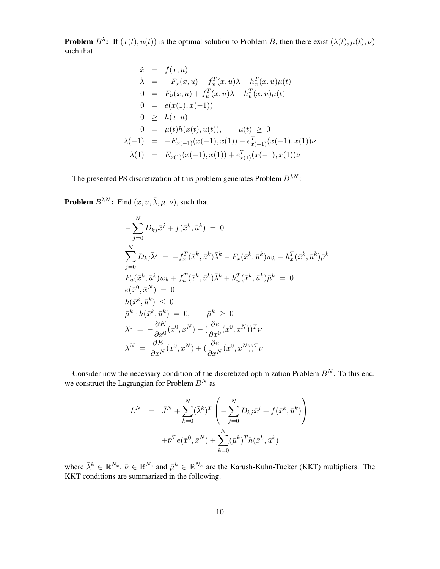**Problem**  $B^{\lambda}$ : If  $(x(t), u(t))$  is the optimal solution to Problem B, then there exist  $(\lambda(t), \mu(t), \nu)$ such that

$$
\dot{x} = f(x, u)
$$
\n
$$
\dot{\lambda} = -F_x(x, u) - f_x^T(x, u)\lambda - h_x^T(x, u)\mu(t)
$$
\n
$$
0 = F_u(x, u) + f_u^T(x, u)\lambda + h_u^T(x, u)\mu(t)
$$
\n
$$
0 = e(x(1), x(-1))
$$
\n
$$
0 \geq h(x, u)
$$
\n
$$
0 = \mu(t)h(x(t), u(t)), \quad \mu(t) \geq 0
$$
\n
$$
\lambda(-1) = -E_{x(-1)}(x(-1), x(1)) - e_{x(-1)}^T(x(-1), x(1))\nu
$$
\n
$$
\lambda(1) = E_{x(1)}(x(-1), x(1)) + e_{x(1)}^T(x(-1), x(1))\nu
$$

The presented PS discretization of this problem generates Problem  $B^{\lambda N}$ :

**Problem**  $B^{\lambda N}$ : Find  $(\bar{x}, \bar{u}, \bar{\lambda}, \bar{\mu}, \bar{\nu})$ , such that

$$
-\sum_{j=0}^{N} D_{kj}\bar{x}^{j} + f(\bar{x}^{k}, \bar{u}^{k}) = 0
$$
  

$$
\sum_{j=0}^{N} D_{kj}\bar{\lambda}^{j} = -f_{x}^{T}(\bar{x}^{k}, \bar{u}^{k})\bar{\lambda}^{k} - F_{x}(\bar{x}^{k}, \bar{u}^{k})w_{k} - h_{x}^{T}(\bar{x}^{k}, \bar{u}^{k})\bar{\mu}^{k}
$$
  

$$
F_{u}(\bar{x}^{k}, \bar{u}^{k})w_{k} + f_{u}^{T}(\bar{x}^{k}, \bar{u}^{k})\bar{\lambda}^{k} + h_{u}^{T}(\bar{x}^{k}, \bar{u}^{k})\bar{\mu}^{k} = 0
$$
  

$$
e(\bar{x}^{0}, \bar{x}^{N}) = 0
$$
  

$$
\bar{\mu}^{k} \cdot h(\bar{x}^{k}, \bar{u}^{k}) = 0, \qquad \bar{\mu}^{k} \geq 0
$$
  

$$
\bar{\lambda}^{0} = -\frac{\partial E}{\partial x^{0}}(\bar{x}^{0}, \bar{x}^{N}) - (\frac{\partial e}{\partial x^{0}}(\bar{x}^{0}, \bar{x}^{N}))^{T}\bar{\nu}
$$
  

$$
\bar{\lambda}^{N} = \frac{\partial E}{\partial x^{N}}(\bar{x}^{0}, \bar{x}^{N}) + (\frac{\partial e}{\partial x^{N}}(\bar{x}^{0}, \bar{x}^{N}))^{T}\bar{\nu}
$$

Consider now the necessary condition of the discretized optimization Problem  $B<sup>N</sup>$ . To this end, we construct the Lagrangian for Problem  $B<sup>N</sup>$  as

$$
L^{N} = \bar{J}^{N} + \sum_{k=0}^{N} (\bar{\lambda}^{k})^{T} \left( -\sum_{j=0}^{N} D_{kj} \bar{x}^{j} + f(\bar{x}^{k}, \bar{u}^{k}) \right) + \bar{\nu}^{T} e(\bar{x}^{0}, \bar{x}^{N}) + \sum_{k=0}^{N} (\bar{\mu}^{k})^{T} h(\bar{x}^{k}, \bar{u}^{k})
$$

where  $\bar{\lambda}^k \in \mathbb{R}^{N_x}$ ,  $\bar{\nu} \in \mathbb{R}^{N_e}$  and  $\bar{\mu}^k \in \mathbb{R}^{N_h}$  are the Karush-Kuhn-Tucker (KKT) multipliers. The KKT conditions are summarized in the following.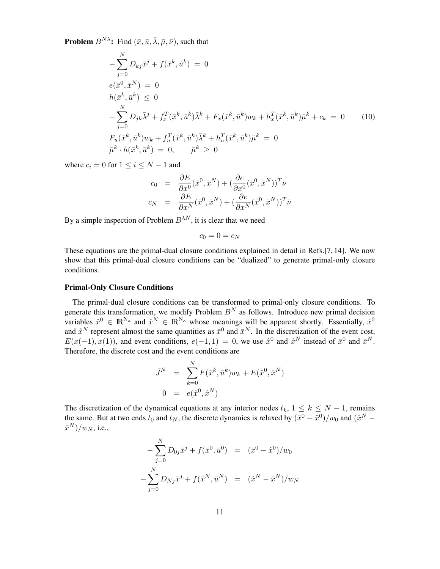**Problem**  $B^{N\lambda}$ : Find  $(\bar{x}, \bar{u}, \bar{\lambda}, \bar{\mu}, \bar{\nu})$ , such that

$$
-\sum_{j=0}^{N} D_{kj}\bar{x}^{j} + f(\bar{x}^{k}, \bar{u}^{k}) = 0
$$
  
\n
$$
e(\bar{x}^{0}, \bar{x}^{N}) = 0
$$
  
\n
$$
h(\bar{x}^{k}, \bar{u}^{k}) \leq 0
$$
  
\n
$$
-\sum_{j=0}^{N} D_{jk}\bar{\lambda}^{j} + f_{x}^{T}(\bar{x}^{k}, \bar{u}^{k})\bar{\lambda}^{k} + F_{x}(\bar{x}^{k}, \bar{u}^{k})w_{k} + h_{x}^{T}(\bar{x}^{k}, \bar{u}^{k})\bar{\mu}^{k} + c_{k} = 0
$$
  
\n
$$
F_{u}(\bar{x}^{k}, \bar{u}^{k})w_{k} + f_{u}^{T}(\bar{x}^{k}, \bar{u}^{k})\bar{\lambda}^{k} + h_{u}^{T}(\bar{x}^{k}, \bar{u}^{k})\bar{\mu}^{k} = 0
$$
  
\n
$$
\bar{\mu}^{k} \cdot h(\bar{x}^{k}, \bar{u}^{k}) = 0, \qquad \bar{\mu}^{k} \geq 0
$$

where  $c_i = 0$  for  $1 \le i \le N - 1$  and

$$
c_0 = \frac{\partial E}{\partial x^0} (\bar{x}^0, \bar{x}^N) + (\frac{\partial e}{\partial x^0} (\bar{x}^0, \bar{x}^N))^T \bar{\nu}
$$
  

$$
c_N = \frac{\partial E}{\partial x^N} (\bar{x}^0, \bar{x}^N) + (\frac{\partial e}{\partial x^N} (\bar{x}^0, \bar{x}^N))^T \bar{\nu}
$$

By a simple inspection of Problem  $B^{\lambda N}$ , it is clear that we need

$$
c_0=0=c_N
$$

These equations are the primal-dual closure conditions explained in detail in Refs.[7, 14]. We now show that this primal-dual closure conditions can be "dualized" to generate primal-only closure conditions.

### Primal-Only Closure Conditions

The primal-dual closure conditions can be transformed to primal-only closure conditions. To generate this transformation, we modify Problem  $B<sup>N</sup>$  as follows. Introduce new primal decision variables  $\hat{x}^0 \in \mathbb{R}^{N_x}$  and  $\hat{x}^N \in \mathbb{R}^{N_x}$  whose meanings will be apparent shortly. Essentially,  $\hat{x}^0$ and  $\hat{x}^N$  represent almost the same quantities as  $\bar{x}^0$  and  $\bar{x}^N$ . In the discretization of the event cost,  $E(x(-1), x(1))$ , and event conditions,  $e(-1, 1) = 0$ , we use  $\hat{x}^0$  and  $\hat{x}^N$  instead of  $\bar{x}^0$  and  $\bar{x}^N$ . Therefore, the discrete cost and the event conditions are

$$
\begin{aligned}\n\bar{J}^N &= \sum_{k=0}^N F(\bar{x}^k, \bar{u}^k) w_k + E(\hat{x}^0, \hat{x}^N) \\
0 &= e(\hat{x}^0, \hat{x}^N)\n\end{aligned}
$$

The discretization of the dynamical equations at any interior nodes  $t_k$ ,  $1 \leq k \leq N-1$ , remains the same. But at two ends  $t_0$  and  $t_N$ , the discrete dynamics is relaxed by  $(\bar{x}^0 - \hat{x}^0)/w_0$  and  $(\hat{x}^N (\bar{x}^N)/w_N$ , i.e.,

$$
-\sum_{j=0}^{N} D_{0j}\bar{x}^{j} + f(\bar{x}^{0}, \bar{u}^{0}) = (\bar{x}^{0} - \hat{x}^{0})/w_{0}
$$

$$
-\sum_{j=0}^{N} D_{Nj}\bar{x}^{j} + f(\bar{x}^{N}, \bar{u}^{N}) = (\hat{x}^{N} - \bar{x}^{N})/w_{N}
$$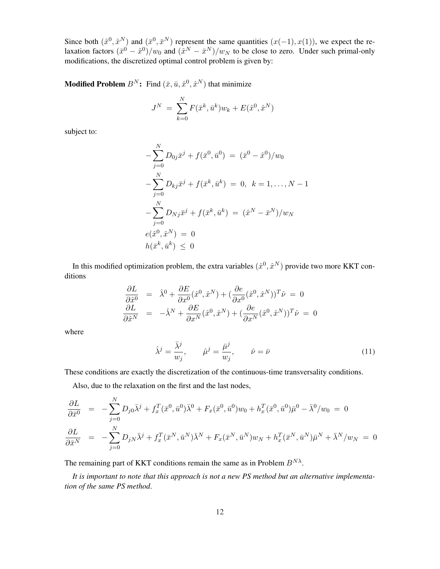Since both  $(\hat{x}^0, \hat{x}^N)$  and  $(\bar{x}^0, \bar{x}^N)$  represent the same quantities  $(x(-1), x(1))$ , we expect the relaxation factors  $(\bar{x}^0 - \hat{x}^0)/w_0$  and  $(\hat{x}^N - \bar{x}^N)/w_N$  to be close to zero. Under such primal-only modifications, the discretized optimal control problem is given by:

**Modified Problem**  $B^N$ : Find  $(\bar{x}, \bar{u}, \hat{x}^0, \hat{x}^N)$  that minimize

$$
J^{N} = \sum_{k=0}^{N} F(\bar{x}^{k}, \bar{u}^{k}) w_{k} + E(\hat{x}^{0}, \hat{x}^{N})
$$

subject to:

$$
-\sum_{j=0}^{N} D_{0j}\bar{x}^{j} + f(\bar{x}^{0}, \bar{u}^{0}) = (\bar{x}^{0} - \hat{x}^{0})/w_{0}
$$

$$
-\sum_{j=0}^{N} D_{kj}\bar{x}^{j} + f(\bar{x}^{k}, \bar{u}^{k}) = 0, \ k = 1, ..., N - 1
$$

$$
-\sum_{j=0}^{N} D_{Nj}\bar{x}^{j} + f(\bar{x}^{k}, \bar{u}^{k}) = (\hat{x}^{N} - \bar{x}^{N})/w_{N}
$$

$$
e(\hat{x}^{0}, \hat{x}^{N}) = 0
$$

$$
h(\bar{x}^{k}, \bar{u}^{k}) \leq 0
$$

In this modified optimization problem, the extra variables  $(\hat{x}^0, \hat{x}^N)$  provide two more KKT conditions

$$
\frac{\partial L}{\partial \hat{x}^0} = \hat{\lambda}^0 + \frac{\partial E}{\partial x^0} (\hat{x}^0, \hat{x}^N) + (\frac{\partial e}{\partial x^0} (\hat{x}^0, \hat{x}^N))^T \hat{\nu} = 0
$$
  

$$
\frac{\partial L}{\partial \hat{x}^N} = -\hat{\lambda}^N + \frac{\partial E}{\partial x^N} (\hat{x}^0, \hat{x}^N) + (\frac{\partial e}{\partial x^N} (\hat{x}^0, \hat{x}^N))^T \hat{\nu} = 0
$$

where

$$
\hat{\lambda}^j = \frac{\bar{\lambda}^j}{w_j}, \qquad \hat{\mu}^j = \frac{\bar{\mu}^j}{w_j}, \qquad \hat{\nu} = \bar{\nu}
$$
\n(11)

These conditions are exactly the discretization of the continuous-time transversality conditions.

Also, due to the relaxation on the first and the last nodes,

$$
\frac{\partial L}{\partial \bar{x}^0} = -\sum_{j=0}^N D_{j0} \bar{\lambda}^j + f_x^T(\bar{x}^0, \bar{u}^0) \bar{\lambda}^0 + F_x(\bar{x}^0, \bar{u}^0) w_0 + h_x^T(\bar{x}^0, \bar{u}^0) \bar{\mu}^0 - \bar{\lambda}^0 / w_0 = 0
$$
  

$$
\frac{\partial L}{\partial \bar{x}^N} = -\sum_{j=0}^N D_{jN} \bar{\lambda}^j + f_x^T(\bar{x}^N, \bar{u}^N) \bar{\lambda}^N + F_x(\bar{x}^N, \bar{u}^N) w_N + h_x^T(\bar{x}^N, \bar{u}^N) \bar{\mu}^N + \bar{\lambda}^N / w_N = 0
$$

The remaining part of KKT conditions remain the same as in Problem  $B^{N\lambda}$ .

*It is important to note that this approach is not a new PS method but an alternative implementation of the same PS method*.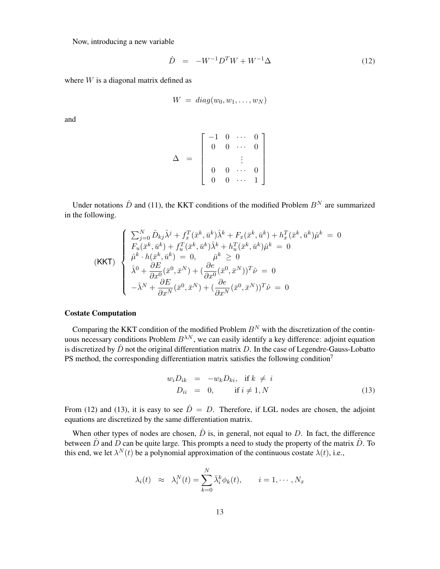Now, introducing a new variable

$$
\hat{D} = -W^{-1}D^{T}W + W^{-1}\Delta
$$
\n(12)

where  $W$  is a diagonal matrix defined as

$$
W = diag(w_0, w_1, \ldots, w_N)
$$

and

$$
\Delta = \left[ \begin{array}{cccc} -1 & 0 & \cdots & 0 \\ 0 & 0 & \cdots & 0 \\ & & \vdots & \\ 0 & 0 & \cdots & 0 \\ 0 & 0 & \cdots & 1 \end{array} \right]
$$

Under notations  $\hat{D}$  and (11), the KKT conditions of the modified Problem  $B<sup>N</sup>$  are summarized in the following.

$$
\begin{cases}\n\sum_{j=0}^{N} \hat{D}_{kj} \hat{\lambda}^{j} + f_x^{T} (\bar{x}^{k}, \bar{u}^{k}) \hat{\lambda}^{k} + F_x (\bar{x}^{k}, \bar{u}^{k}) + h_x^{T} (\bar{x}^{k}, \bar{u}^{k}) \hat{\mu}^{k} = 0 \\
F_u (\bar{x}^{k}, \bar{u}^{k}) + f_u^{T} (\bar{x}^{k}, \bar{u}^{k}) \hat{\lambda}^{k} + h_u^{T} (\bar{x}^{k}, \bar{u}^{k}) \hat{\mu}^{k} = 0 \\
\hat{\mu}^{k} \cdot h (\bar{x}^{k}, \bar{u}^{k}) = 0, \qquad \bar{\mu}^{k} \geq 0 \\
\hat{\lambda}^{0} + \frac{\partial E}{\partial x^{0}} (\bar{x}^{0}, \bar{x}^{N}) + (\frac{\partial e}{\partial x^{0}} (\bar{x}^{0}, \bar{x}^{N}))^{T} \hat{\nu} = 0 \\
-\hat{\lambda}^{N} + \frac{\partial E}{\partial x^{N}} (\bar{x}^{0}, \bar{x}^{N}) + (\frac{\partial e}{\partial x^{N}} (\bar{x}^{0}, \bar{x}^{N}))^{T} \hat{\nu} = 0\n\end{cases}
$$

### Costate Computation

Comparing the KKT condition of the modified Problem  $B<sup>N</sup>$  with the discretization of the continuous necessary conditions Problem  $B^{\lambda N}$ , we can easily identify a key difference: adjoint equation is discretized by  $\hat{D}$  not the original differentiation matrix D. In the case of Legendre-Gauss-Lobatto PS method, the corresponding differentiation matrix satisfies the following condition<sup>7</sup>

$$
w_i D_{ik} = -w_k D_{ki}, \text{ if } k \neq i
$$
  

$$
D_{ii} = 0, \text{ if } i \neq 1, N
$$
 (13)

From (12) and (13), it is easy to see  $\hat{D} = D$ . Therefore, if LGL nodes are chosen, the adjoint equations are discretized by the same differentiation matrix.

When other types of nodes are chosen,  $\hat{D}$  is, in general, not equal to D. In fact, the difference between  $\hat{D}$  and  $D$  can be quite large. This prompts a need to study the property of the matrix  $\hat{D}$ . To this end, we let  $\lambda^{N}(t)$  be a polynomial approximation of the continuous costate  $\lambda(t)$ , i.e.,

$$
\lambda_i(t) \approx \lambda_i^N(t) = \sum_{k=0}^N \bar{\lambda}_i^k \phi_k(t), \qquad i = 1, \cdots, N_x
$$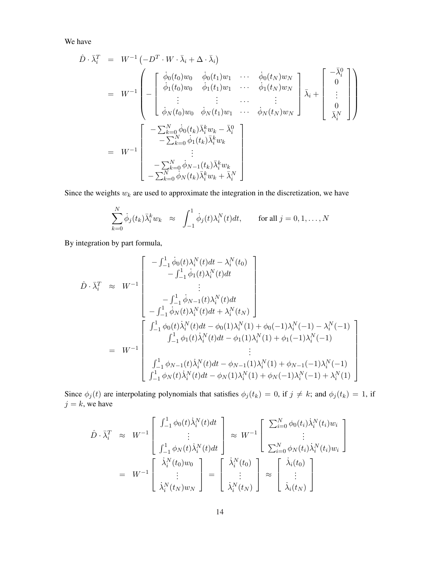We have

$$
\hat{D} \cdot \bar{\lambda}_i^T = W^{-1} \begin{pmatrix} -D^T \cdot W \cdot \bar{\lambda}_i + \Delta \cdot \bar{\lambda}_i \end{pmatrix}
$$
\n
$$
= W^{-1} \begin{pmatrix} \dot{\phi}_0(t_0)w_0 & \dot{\phi}_0(t_1)w_1 & \cdots & \dot{\phi}_0(t_N)w_N \\ \dot{\phi}_1(t_0)w_0 & \dot{\phi}_1(t_1)w_1 & \cdots & \dot{\phi}_1(t_N)w_N \\ \vdots & \vdots & \cdots & \vdots \\ \dot{\phi}_N(t_0)w_0 & \dot{\phi}_N(t_1)w_1 & \cdots & \dot{\phi}_N(t_N)w_N \end{pmatrix} \bar{\lambda}_i + \begin{bmatrix} -\bar{\lambda}_i^0 \\ 0 \\ \vdots \\ 0 \\ \bar{\lambda}_i^N \end{bmatrix}
$$
\n
$$
= W^{-1} \begin{bmatrix} -\sum_{k=0}^N \dot{\phi}_0(t_k) \bar{\lambda}_i^k w_k - \bar{\lambda}_i^0 \\ -\sum_{k=0}^N \dot{\phi}_1(t_k) \bar{\lambda}_i^k w_k \\ \vdots \\ -\sum_{k=0}^N \dot{\phi}_N(t_k) \bar{\lambda}_i^k w_k + \bar{\lambda}_i^N \end{bmatrix}
$$

Since the weights  $w_k$  are used to approximate the integration in the discretization, we have

$$
\sum_{k=0}^{N} \dot{\phi}_j(t_k) \bar{\lambda}_i^k w_k \approx \int_{-1}^{1} \dot{\phi}_j(t) \lambda_i^N(t) dt, \quad \text{for all } j = 0, 1, \dots, N
$$

By integration by part formula,

$$
\hat{D} \cdot \bar{\lambda}_{i}^{T} \approx W^{-1} \begin{bmatrix}\n-\int_{-1}^{1} \dot{\phi}_{0}(t) \lambda_{i}^{N}(t)dt - \lambda_{i}^{N}(t_{0}) \\
-\int_{-1}^{1} \dot{\phi}_{1}(t) \lambda_{i}^{N}(t)dt \\
\vdots \\
-\int_{-1}^{1} \dot{\phi}_{N-1}(t) \lambda_{i}^{N}(t)dt \\
-\int_{-1}^{1} \dot{\phi}_{N}(t) \lambda_{i}^{N}(t)dt + \lambda_{i}^{N}(t_{N})\n\end{bmatrix}
$$
\n
$$
= W^{-1} \begin{bmatrix}\n\int_{-1}^{1} \phi_{0}(t) \dot{\lambda}_{i}^{N}(t)dt - \phi_{0}(1) \lambda_{i}^{N}(1) + \phi_{0}(-1) \lambda_{i}^{N}(-1) - \lambda_{i}^{N}(-1) \\
\int_{-1}^{1} \phi_{1}(t) \dot{\lambda}_{i}^{N}(t)dt - \phi_{1}(1) \lambda_{i}^{N}(1) + \phi_{1}(-1) \lambda_{i}^{N}(-1) \\
\vdots \\
\int_{-1}^{1} \phi_{N-1}(t) \dot{\lambda}_{i}^{N}(t)dt - \phi_{N-1}(1) \lambda_{i}^{N}(1) + \phi_{N-1}(-1) \lambda_{i}^{N}(-1) \\
\int_{-1}^{1} \phi_{N}(t) \dot{\lambda}_{i}^{N}(t)dt - \phi_{N}(1) \lambda_{i}^{N}(1) + \phi_{N}(-1) \lambda_{i}^{N}(-1) + \lambda_{i}^{N}(1)\n\end{bmatrix}
$$

Since  $\phi_j(t)$  are interpolating polynomials that satisfies  $\phi_j(t_k) = 0$ , if  $j \neq k$ ; and  $\phi_j(t_k) = 1$ , if  $j = k$ , we have

$$
\hat{D} \cdot \bar{\lambda}_i^T \approx W^{-1} \begin{bmatrix} \int_{-1}^1 \phi_0(t) \dot{\lambda}_i^N(t) dt \\ \vdots \\ \int_{-1}^1 \phi_N(t) \dot{\lambda}_i^N(t) dt \end{bmatrix} \approx W^{-1} \begin{bmatrix} \sum_{i=0}^N \phi_0(t_i) \dot{\lambda}_i^N(t_i) w_i \\ \vdots \\ \sum_{i=0}^N \phi_N(t_i) \dot{\lambda}_i^N(t_i) w_i \end{bmatrix}
$$

$$
= W^{-1} \begin{bmatrix} \dot{\lambda}_i^N(t_0) w_0 \\ \vdots \\ \dot{\lambda}_i^N(t_N) w_N \end{bmatrix} = \begin{bmatrix} \dot{\lambda}_i^N(t_0) \\ \vdots \\ \dot{\lambda}_i^N(t_N) \end{bmatrix} \approx \begin{bmatrix} \dot{\lambda}_i(t_0) \\ \vdots \\ \dot{\lambda}_i(t_N) \end{bmatrix}
$$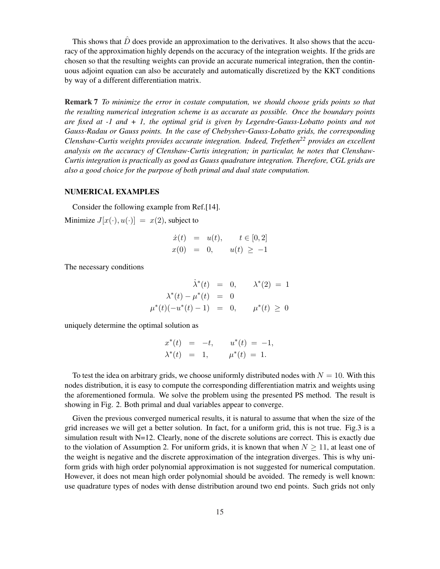This shows that  $\hat{D}$  does provide an approximation to the derivatives. It also shows that the accuracy of the approximation highly depends on the accuracy of the integration weights. If the grids are chosen so that the resulting weights can provide an accurate numerical integration, then the continuous adjoint equation can also be accurately and automatically discretized by the KKT conditions by way of a different differentiation matrix.

Remark 7 *To minimize the error in costate computation, we should choose grids points so that the resulting numerical integration scheme is as accurate as possible. Once the boundary points are fixed at -1 and + 1, the optimal grid is given by Legendre-Gauss-Lobatto points and not Gauss-Radau or Gauss points. In the case of Chebyshev-Gauss-Lobatto grids, the corresponding Clenshaw-Curtis weights provides accurate integration. Indeed, Trefethen<sup>22</sup> provides an excellent analysis on the accuracy of Clenshaw-Curtis integration; in particular, he notes that Clenshaw-Curtis integration is practically as good as Gauss quadrature integration. Therefore, CGL grids are also a good choice for the purpose of both primal and dual state computation.*

## NUMERICAL EXAMPLES

Consider the following example from Ref.[14].

Minimize  $J[x(\cdot), u(\cdot)] = x(2)$ , subject to

$$
\dot{x}(t) = u(t), \quad t \in [0,2] \n x(0) = 0, \quad u(t) \ge -1
$$

The necessary conditions

$$
\dot{\lambda}^*(t) = 0, \quad \lambda^*(2) = 1
$$
  

$$
\lambda^*(t) - \mu^*(t) = 0
$$
  

$$
\mu^*(t)(-u^*(t) - 1) = 0, \quad \mu^*(t) \ge 0
$$

uniquely determine the optimal solution as

$$
x^*(t) = -t, \t u^*(t) = -1, \n\lambda^*(t) = 1, \t \mu^*(t) = 1.
$$

To test the idea on arbitrary grids, we choose uniformly distributed nodes with  $N = 10$ . With this nodes distribution, it is easy to compute the corresponding differentiation matrix and weights using the aforementioned formula. We solve the problem using the presented PS method. The result is showing in Fig. 2. Both primal and dual variables appear to converge.

Given the previous converged numerical results, it is natural to assume that when the size of the grid increases we will get a better solution. In fact, for a uniform grid, this is not true. Fig.3 is a simulation result with N=12. Clearly, none of the discrete solutions are correct. This is exactly due to the violation of Assumption 2. For uniform grids, it is known that when  $N \geq 11$ , at least one of the weight is negative and the discrete approximation of the integration diverges. This is why uniform grids with high order polynomial approximation is not suggested for numerical computation. However, it does not mean high order polynomial should be avoided. The remedy is well known: use quadrature types of nodes with dense distribution around two end points. Such grids not only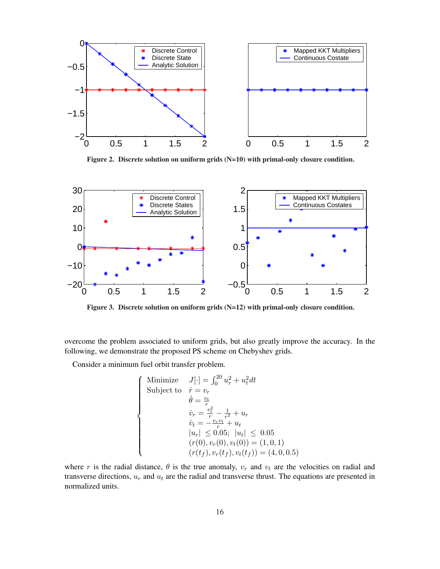

Figure 2. Discrete solution on uniform grids (N=10) with primal-only closure condition.



Figure 3. Discrete solution on uniform grids (N=12) with primal-only closure condition.

overcome the problem associated to uniform grids, but also greatly improve the accuracy. In the following, we demonstrate the proposed PS scheme on Chebyshev grids.

Consider a minimum fuel orbit transfer problem.

$$
\begin{cases}\n\text{Minimize} & J[\cdot] = \int_0^{20} u_r^2 + u_t^2 dt \\
\text{Subject to} & \dot{r} = v_r \\
& \dot{\theta} = \frac{v_t}{r} \\
& \dot{v}_r = \frac{v_t^2}{r} - \frac{1}{r^2} + u_r \\
& \dot{v}_t = -\frac{v_r v_t}{r} + u_t \\
& |u_r| \leq 0.05; \ |u_t| \leq 0.05 \\
& (r(0), v_r(0), v_t(0)) = (1, 0, 1) \\
& (r(t_f), v_r(t_f), v_t(t_f)) = (4, 0, 0.5)\n\end{cases}
$$

where r is the radial distance,  $\theta$  is the true anomaly,  $v_r$  and  $v_t$  are the velocities on radial and transverse directions,  $u_r$  and  $u_t$  are the radial and transverse thrust. The equations are presented in normalized units.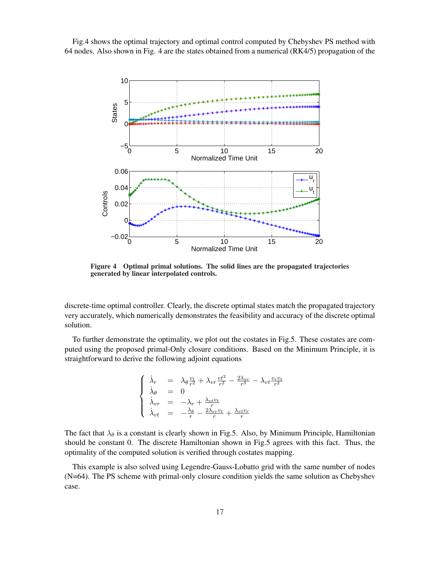Fig.4 shows the optimal trajectory and optimal control computed by Chebyshev PS method with 64 nodes. Also shown in Fig. 4 are the states obtained from a numerical (RK4/5) propagation of the



Figure 4 Optimal primal solutions. The solid lines are the propagated trajectories generated by linear interpolated controls.

discrete-time optimal controller. Clearly, the discrete optimal states match the propagated trajectory very accurately, which numerically demonstrates the feasibility and accuracy of the discrete optimal solution.

To further demonstrate the optimality, we plot out the costates in Fig.5. These costates are computed using the proposed primal-Only closure conditions. Based on the Minimum Principle, it is straightforward to derive the following adjoint equations

$$
\begin{cases}\n\dot{\lambda}_r = \lambda_\theta \frac{v_t}{r^2} + \lambda_{vr} \frac{vt^2}{r^2} - \frac{2\lambda_{vr}}{r^3} - \lambda_{vt} \frac{v_r v_t}{r^2} \\
\dot{\lambda}_\theta = 0 \\
\dot{\lambda}_{vr} = -\lambda_r + \frac{\lambda_{vt} v_t}{r} \\
\dot{\lambda}_{vt} = -\frac{\lambda_\theta}{r} - \frac{2\lambda_{vr} v_t}{r} + \frac{\lambda_{vt} v_r}{r}\n\end{cases}
$$

The fact that  $\lambda_{\theta}$  is a constant is clearly shown in Fig.5. Also, by Minimum Principle, Hamiltonian should be constant 0. The discrete Hamiltonian shown in Fig.5 agrees with this fact. Thus, the optimality of the computed solution is verified through costates mapping.

This example is also solved using Legendre-Gauss-Lobatto grid with the same number of nodes (N=64). The PS scheme with primal-only closure condition yields the same solution as Chebyshev case.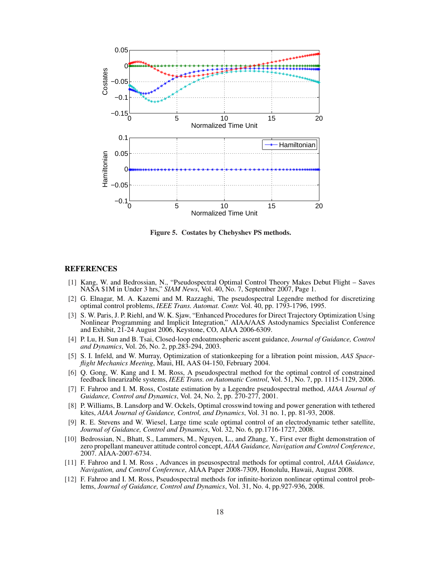

Figure 5. Costates by Chebyshev PS methods.

#### REFERENCES

- [1] Kang, W. and Bedrossian, N., "Pseudospectral Optimal Control Theory Makes Debut Flight Saves NASA \$1M in Under 3 hrs," *SIAM News*, Vol. 40, No. 7, September 2007, Page 1.
- [2] G. Elnagar, M. A. Kazemi and M. Razzaghi, The pseudospectral Legendre method for discretizing optimal control problems, *IEEE Trans. Automat. Contr.* Vol. 40, pp. 1793-1796, 1995.
- [3] S. W. Paris, J. P. Riehl, and W. K. Sjaw, "Enhanced Procedures for Direct Trajectory Optimization Using Nonlinear Programming and Implicit Integration," AIAA/AAS Astodynamics Specialist Conference and Exhibit, 21-24 August 2006, Keystone, CO, AIAA 2006-6309.
- [4] P. Lu, H. Sun and B. Tsai, Closed-loop endoatmospheric ascent guidance, *Journal of Guidance, Control and Dynamics*, Vol. 26, No. 2, pp.283-294, 2003.
- [5] S. I. Infeld, and W. Murray, Optimization of stationkeeping for a libration point mission, *AAS Spaceflight Mechanics Meeting*, Maui, HI, AAS 04-150, February 2004.
- [6] Q. Gong, W. Kang and I. M. Ross, A pseudospectral method for the optimal control of constrained feedback linearizable systems, *IEEE Trans. on Automatic Control*, Vol. 51, No. 7, pp. 1115-1129, 2006.
- [7] F. Fahroo and I. M. Ross, Costate estimation by a Legendre pseudospectral method, *AIAA Journal of Guidance, Control and Dynamics*, Vol. 24, No. 2, pp. 270-277, 2001.
- [8] P. Williams, B. Lansdorp and W. Ockels, Optimal crosswind towing and power generation with tethered kites, *AIAA Journal of Guidance, Control, and Dynamics*, Vol. 31 no. 1, pp. 81-93, 2008.
- [9] R. E. Stevens and W. Wiesel, Large time scale optimal control of an electrodynamic tether satellite, *Journal of Guidance, Control and Dynamics*, Vol. 32, No. 6, pp.1716-1727, 2008.
- [10] Bedrossian, N., Bhatt, S., Lammers, M., Nguyen, L., and Zhang, Y., First ever flight demonstration of zero propellant maneuver attitude control concept, *AIAA Guidance, Navigation and Control Conference*, 2007. AIAA-2007-6734.
- [11] F. Fahroo and I. M. Ross , Advances in pseusospectral methods for optimal control, *AIAA Guidance, Navigation, and Control Conference*, AIAA Paper 2008-7309, Honolulu, Hawaii, August 2008.
- [12] F. Fahroo and I. M. Ross, Pseudospectral methods for infinite-horizon nonlinear optimal control problems, *Journal of Guidance, Control and Dynamics*, Vol. 31, No. 4, pp.927-936, 2008.